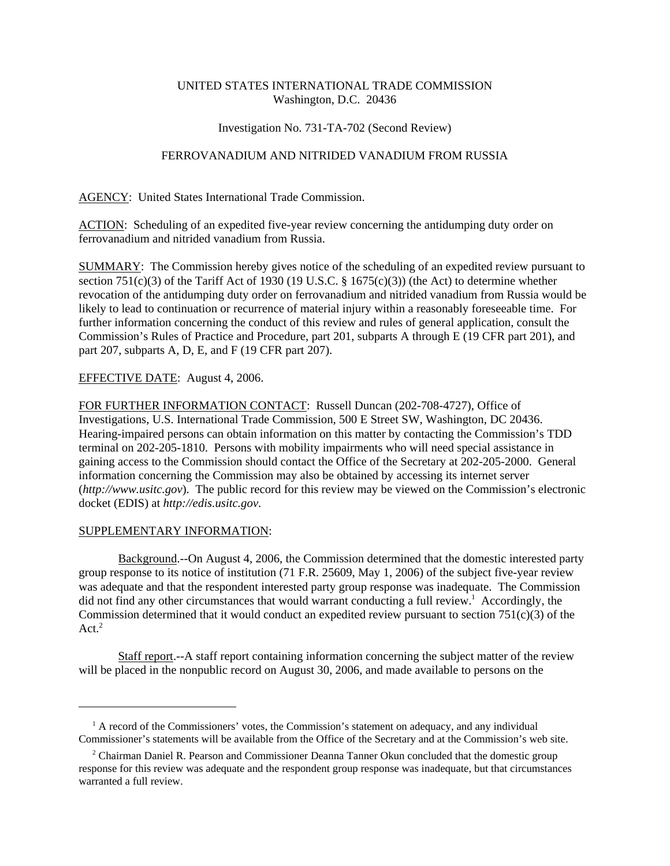## UNITED STATES INTERNATIONAL TRADE COMMISSION Washington, D.C. 20436

### Investigation No. 731-TA-702 (Second Review)

# FERROVANADIUM AND NITRIDED VANADIUM FROM RUSSIA

AGENCY: United States International Trade Commission.

ACTION: Scheduling of an expedited five-year review concerning the antidumping duty order on ferrovanadium and nitrided vanadium from Russia.

SUMMARY: The Commission hereby gives notice of the scheduling of an expedited review pursuant to section 751(c)(3) of the Tariff Act of 1930 (19 U.S.C. § 1675(c)(3)) (the Act) to determine whether revocation of the antidumping duty order on ferrovanadium and nitrided vanadium from Russia would be likely to lead to continuation or recurrence of material injury within a reasonably foreseeable time. For further information concerning the conduct of this review and rules of general application, consult the Commission's Rules of Practice and Procedure, part 201, subparts A through E (19 CFR part 201), and part 207, subparts A, D, E, and F (19 CFR part 207).

## EFFECTIVE DATE: August 4, 2006.

FOR FURTHER INFORMATION CONTACT: Russell Duncan (202-708-4727), Office of Investigations, U.S. International Trade Commission, 500 E Street SW, Washington, DC 20436. Hearing-impaired persons can obtain information on this matter by contacting the Commission's TDD terminal on 202-205-1810. Persons with mobility impairments who will need special assistance in gaining access to the Commission should contact the Office of the Secretary at 202-205-2000. General information concerning the Commission may also be obtained by accessing its internet server (*http://www.usitc.gov*). The public record for this review may be viewed on the Commission's electronic docket (EDIS) at *http://edis.usitc.gov*.

#### SUPPLEMENTARY INFORMATION:

Background.--On August 4, 2006, the Commission determined that the domestic interested party group response to its notice of institution (71 F.R. 25609, May 1, 2006) of the subject five-year review was adequate and that the respondent interested party group response was inadequate. The Commission did not find any other circumstances that would warrant conducting a full review.<sup>1</sup> Accordingly, the Commission determined that it would conduct an expedited review pursuant to section  $751(c)(3)$  of the  $Act.<sup>2</sup>$ 

Staff report.--A staff report containing information concerning the subject matter of the review will be placed in the nonpublic record on August 30, 2006, and made available to persons on the

<sup>&</sup>lt;sup>1</sup> A record of the Commissioners' votes, the Commission's statement on adequacy, and any individual Commissioner's statements will be available from the Office of the Secretary and at the Commission's web site.

<sup>&</sup>lt;sup>2</sup> Chairman Daniel R. Pearson and Commissioner Deanna Tanner Okun concluded that the domestic group response for this review was adequate and the respondent group response was inadequate, but that circumstances warranted a full review.